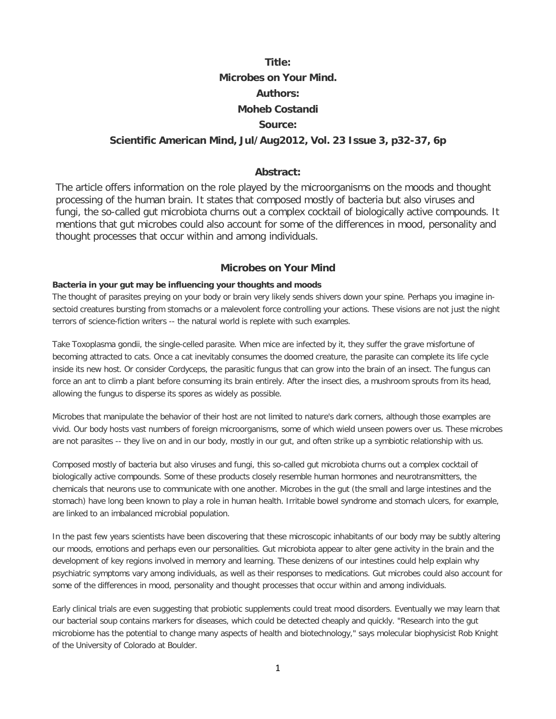# **Title: Microbes on Your Mind. Authors: Moheb Costandi Source:**

# **Scientific American Mind, Jul/Aug2012, Vol. 23 Issue 3, p32-37, 6p**

## **Abstract:**

The article offers information on the role played by the microorganisms on the moods and thought processing of the human brain. It states that composed mostly of bacteria but also viruses and fungi, the so-called gut microbiota churns out a complex cocktail of biologically active compounds. It mentions that gut microbes could also account for some of the differences in mood, personality and thought processes that occur within and among individuals.

#### **Microbes on Your Mind**

### **Bacteria in your gut may be influencing your thoughts and moods**

The thought of parasites preying on your body or brain very likely sends shivers down your spine. Perhaps you imagine insectoid creatures bursting from stomachs or a malevolent force controlling your actions. These visions are not just the night terrors of science-fiction writers -- the natural world is replete with such examples.

Take Toxoplasma gondii, the single-celled parasite. When mice are infected by it, they suffer the grave misfortune of becoming attracted to cats. Once a cat inevitably consumes the doomed creature, the parasite can complete its life cycle inside its new host. Or consider Cordyceps, the parasitic fungus that can grow into the brain of an insect. The fungus can force an ant to climb a plant before consuming its brain entirely. After the insect dies, a mushroom sprouts from its head, allowing the fungus to disperse its spores as widely as possible.

Microbes that manipulate the behavior of their host are not limited to nature's dark corners, although those examples are vivid. Our body hosts vast numbers of foreign microorganisms, some of which wield unseen powers over us. These microbes are not parasites -- they live on and in our body, mostly in our gut, and often strike up a symbiotic relationship with us.

Composed mostly of bacteria but also viruses and fungi, this so-called gut microbiota churns out a complex cocktail of biologically active compounds. Some of these products closely resemble human hormones and neurotransmitters, the chemicals that neurons use to communicate with one another. Microbes in the gut (the small and large intestines and the stomach) have long been known to play a role in human health. Irritable bowel syndrome and stomach ulcers, for example, are linked to an imbalanced microbial population.

In the past few years scientists have been discovering that these microscopic inhabitants of our body may be subtly altering our moods, emotions and perhaps even our personalities. Gut microbiota appear to alter gene activity in the brain and the development of key regions involved in memory and learning. These denizens of our intestines could help explain why psychiatric symptoms vary among individuals, as well as their responses to medications. Gut microbes could also account for some of the differences in mood, personality and thought processes that occur within and among individuals.

Early clinical trials are even suggesting that probiotic supplements could treat mood disorders. Eventually we may learn that our bacterial soup contains markers for diseases, which could be detected cheaply and quickly. "Research into the gut microbiome has the potential to change many aspects of health and biotechnology," says molecular biophysicist Rob Knight of the University of Colorado at Boulder.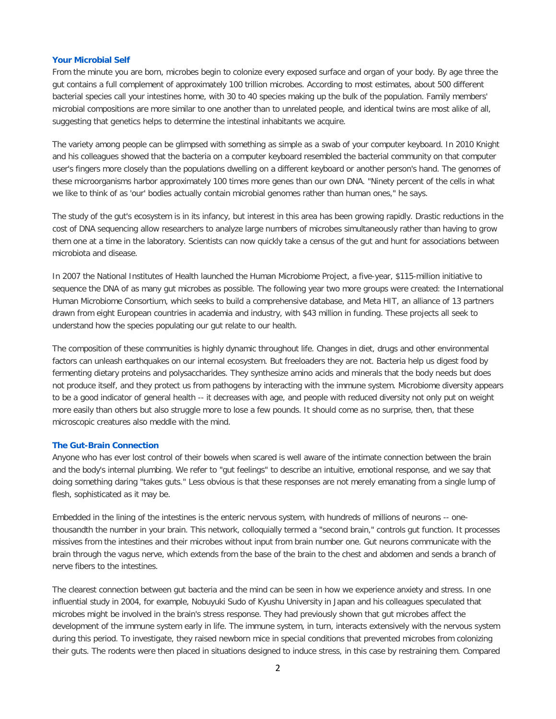#### **[Your Microbial Self](http://web.ebscohost.com/ehost/delivery?sid=69b4472d-0c74-4895-8bbf-73fb33679a56%40sessionmgr111&vid=3&hid=117#toc)**

From the minute you are born, microbes begin to colonize every exposed surface and organ of your body. By age three the gut contains a full complement of approximately 100 trillion microbes. According to most estimates, about 500 different bacterial species call your intestines home, with 30 to 40 species making up the bulk of the population. Family members' microbial compositions are more similar to one another than to unrelated people, and identical twins are most alike of all, suggesting that genetics helps to determine the intestinal inhabitants we acquire.

The variety among people can be glimpsed with something as simple as a swab of your computer keyboard. In 2010 Knight and his colleagues showed that the bacteria on a computer keyboard resembled the bacterial community on that computer user's fingers more closely than the populations dwelling on a different keyboard or another person's hand. The genomes of these microorganisms harbor approximately 100 times more genes than our own DNA. "Ninety percent of the cells in what we like to think of as 'our' bodies actually contain microbial genomes rather than human ones," he says.

The study of the gut's ecosystem is in its infancy, but interest in this area has been growing rapidly. Drastic reductions in the cost of DNA sequencing allow researchers to analyze large numbers of microbes simultaneously rather than having to grow them one at a time in the laboratory. Scientists can now quickly take a census of the gut and hunt for associations between microbiota and disease.

In 2007 the National Institutes of Health launched the Human Microbiome Project, a five-year, \$115-million initiative to sequence the DNA of as many gut microbes as possible. The following year two more groups were created: the International Human Microbiome Consortium, which seeks to build a comprehensive database, and Meta HIT, an alliance of 13 partners drawn from eight European countries in academia and industry, with \$43 million in funding. These projects all seek to understand how the species populating our gut relate to our health.

The composition of these communities is highly dynamic throughout life. Changes in diet, drugs and other environmental factors can unleash earthquakes on our internal ecosystem. But freeloaders they are not. Bacteria help us digest food by fermenting dietary proteins and polysaccharides. They synthesize amino acids and minerals that the body needs but does not produce itself, and they protect us from pathogens by interacting with the immune system. Microbiome diversity appears to be a good indicator of general health -- it decreases with age, and people with reduced diversity not only put on weight more easily than others but also struggle more to lose a few pounds. It should come as no surprise, then, that these microscopic creatures also meddle with the mind.

#### **[The Gut-Brain Connection](http://web.ebscohost.com/ehost/delivery?sid=69b4472d-0c74-4895-8bbf-73fb33679a56%40sessionmgr111&vid=3&hid=117#toc)**

Anyone who has ever lost control of their bowels when scared is well aware of the intimate connection between the brain and the body's internal plumbing. We refer to "gut feelings" to describe an intuitive, emotional response, and we say that doing something daring "takes guts." Less obvious is that these responses are not merely emanating from a single lump of flesh, sophisticated as it may be.

Embedded in the lining of the intestines is the enteric nervous system, with hundreds of millions of neurons -- onethousandth the number in your brain. This network, colloquially termed a "second brain," controls gut function. It processes missives from the intestines and their microbes without input from brain number one. Gut neurons communicate with the brain through the vagus nerve, which extends from the base of the brain to the chest and abdomen and sends a branch of nerve fibers to the intestines.

The clearest connection between gut bacteria and the mind can be seen in how we experience anxiety and stress. In one influential study in 2004, for example, Nobuyuki Sudo of Kyushu University in Japan and his colleagues speculated that microbes might be involved in the brain's stress response. They had previously shown that gut microbes affect the development of the immune system early in life. The immune system, in turn, interacts extensively with the nervous system during this period. To investigate, they raised newborn mice in special conditions that prevented microbes from colonizing their guts. The rodents were then placed in situations designed to induce stress, in this case by restraining them. Compared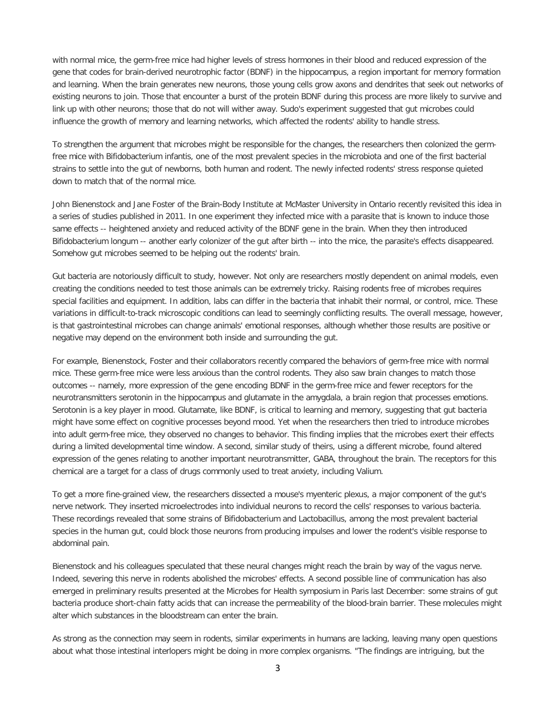with normal mice, the germ-free mice had higher levels of stress hormones in their blood and reduced expression of the gene that codes for brain-derived neurotrophic factor (BDNF) in the hippocampus, a region important for memory formation and learning. When the brain generates new neurons, those young cells grow axons and dendrites that seek out networks of existing neurons to join. Those that encounter a burst of the protein BDNF during this process are more likely to survive and link up with other neurons; those that do not will wither away. Sudo's experiment suggested that gut microbes could influence the growth of memory and learning networks, which affected the rodents' ability to handle stress.

To strengthen the argument that microbes might be responsible for the changes, the researchers then colonized the germfree mice with Bifidobacterium infantis, one of the most prevalent species in the microbiota and one of the first bacterial strains to settle into the gut of newborns, both human and rodent. The newly infected rodents' stress response quieted down to match that of the normal mice.

John Bienenstock and Jane Foster of the Brain-Body Institute at McMaster University in Ontario recently revisited this idea in a series of studies published in 2011. In one experiment they infected mice with a parasite that is known to induce those same effects -- heightened anxiety and reduced activity of the BDNF gene in the brain. When they then introduced Bifidobacterium longum -- another early colonizer of the gut after birth -- into the mice, the parasite's effects disappeared. Somehow gut microbes seemed to be helping out the rodents' brain.

Gut bacteria are notoriously difficult to study, however. Not only are researchers mostly dependent on animal models, even creating the conditions needed to test those animals can be extremely tricky. Raising rodents free of microbes requires special facilities and equipment. In addition, labs can differ in the bacteria that inhabit their normal, or control, mice. These variations in difficult-to-track microscopic conditions can lead to seemingly conflicting results. The overall message, however, is that gastrointestinal microbes can change animals' emotional responses, although whether those results are positive or negative may depend on the environment both inside and surrounding the gut.

For example, Bienenstock, Foster and their collaborators recently compared the behaviors of germ-free mice with normal mice. These germ-free mice were less anxious than the control rodents. They also saw brain changes to match those outcomes -- namely, more expression of the gene encoding BDNF in the germ-free mice and fewer receptors for the neurotransmitters serotonin in the hippocampus and glutamate in the amygdala, a brain region that processes emotions. Serotonin is a key player in mood. Glutamate, like BDNF, is critical to learning and memory, suggesting that gut bacteria might have some effect on cognitive processes beyond mood. Yet when the researchers then tried to introduce microbes into adult germ-free mice, they observed no changes to behavior. This finding implies that the microbes exert their effects during a limited developmental time window. A second, similar study of theirs, using a different microbe, found altered expression of the genes relating to another important neurotransmitter, GABA, throughout the brain. The receptors for this chemical are a target for a class of drugs commonly used to treat anxiety, including Valium.

To get a more fine-grained view, the researchers dissected a mouse's myenteric plexus, a major component of the gut's nerve network. They inserted microelectrodes into individual neurons to record the cells' responses to various bacteria. These recordings revealed that some strains of Bifidobacterium and Lactobacillus, among the most prevalent bacterial species in the human gut, could block those neurons from producing impulses and lower the rodent's visible response to abdominal pain.

Bienenstock and his colleagues speculated that these neural changes might reach the brain by way of the vagus nerve. Indeed, severing this nerve in rodents abolished the microbes' effects. A second possible line of communication has also emerged in preliminary results presented at the Microbes for Health symposium in Paris last December: some strains of gut bacteria produce short-chain fatty acids that can increase the permeability of the blood-brain barrier. These molecules might alter which substances in the bloodstream can enter the brain.

As strong as the connection may seem in rodents, similar experiments in humans are lacking, leaving many open questions about what those intestinal interlopers might be doing in more complex organisms. "The findings are intriguing, but the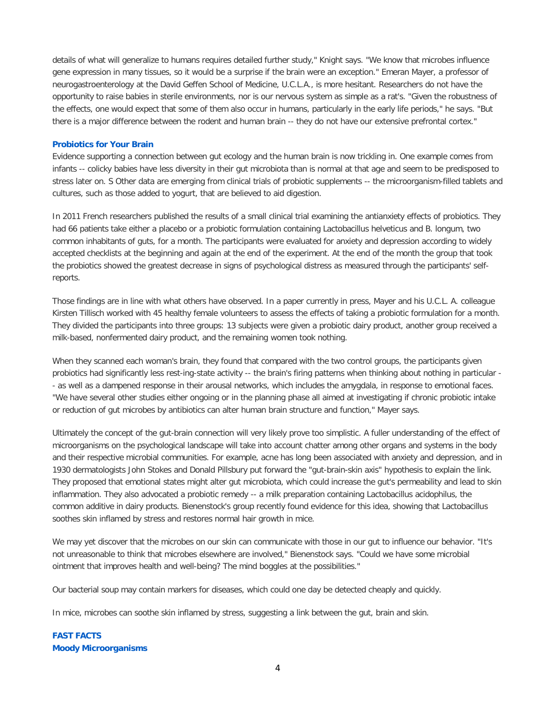details of what will generalize to humans requires detailed further study," Knight says. "We know that microbes influence gene expression in many tissues, so it would be a surprise if the brain were an exception." Emeran Mayer, a professor of neurogastroenterology at the David Geffen School of Medicine, U.C.L.A., is more hesitant. Researchers do not have the opportunity to raise babies in sterile environments, nor is our nervous system as simple as a rat's. "Given the robustness of the effects, one would expect that some of them also occur in humans, particularly in the early life periods," he says. "But there is a major difference between the rodent and human brain -- they do not have our extensive prefrontal cortex."

#### **[Probiotics for Your Brain](http://web.ebscohost.com/ehost/delivery?sid=69b4472d-0c74-4895-8bbf-73fb33679a56%40sessionmgr111&vid=3&hid=117#toc)**

Evidence supporting a connection between gut ecology and the human brain is now trickling in. One example comes from infants -- colicky babies have less diversity in their gut microbiota than is normal at that age and seem to be predisposed to stress later on. S Other data are emerging from clinical trials of probiotic supplements -- the microorganism-filled tablets and cultures, such as those added to yogurt, that are believed to aid digestion.

In 2011 French researchers published the results of a small clinical trial examining the antianxiety effects of probiotics. They had 66 patients take either a placebo or a probiotic formulation containing Lactobacillus helveticus and B. longum, two common inhabitants of guts, for a month. The participants were evaluated for anxiety and depression according to widely accepted checklists at the beginning and again at the end of the experiment. At the end of the month the group that took the probiotics showed the greatest decrease in signs of psychological distress as measured through the participants' selfreports.

Those findings are in line with what others have observed. In a paper currently in press, Mayer and his U.C.L. A. colleague Kirsten Tillisch worked with 45 healthy female volunteers to assess the effects of taking a probiotic formulation for a month. They divided the participants into three groups: 13 subjects were given a probiotic dairy product, another group received a milk-based, nonfermented dairy product, and the remaining women took nothing.

When they scanned each woman's brain, they found that compared with the two control groups, the participants given probiotics had significantly less rest-ing-state activity -- the brain's firing patterns when thinking about nothing in particular - - as well as a dampened response in their arousal networks, which includes the amygdala, in response to emotional faces. "We have several other studies either ongoing or in the planning phase all aimed at investigating if chronic probiotic intake or reduction of gut microbes by antibiotics can alter human brain structure and function," Mayer says.

Ultimately the concept of the gut-brain connection will very likely prove too simplistic. A fuller understanding of the effect of microorganisms on the psychological landscape will take into account chatter among other organs and systems in the body and their respective microbial communities. For example, acne has long been associated with anxiety and depression, and in 1930 dermatologists John Stokes and Donald Pillsbury put forward the "gut-brain-skin axis" hypothesis to explain the link. They proposed that emotional states might alter gut microbiota, which could increase the gut's permeability and lead to skin inflammation. They also advocated a probiotic remedy -- a milk preparation containing Lactobacillus acidophilus, the common additive in dairy products. Bienenstock's group recently found evidence for this idea, showing that Lactobacillus soothes skin inflamed by stress and restores normal hair growth in mice.

We may yet discover that the microbes on our skin can communicate with those in our gut to influence our behavior. "It's not unreasonable to think that microbes elsewhere are involved," Bienenstock says. "Could we have some microbial ointment that improves health and well-being? The mind boggles at the possibilities."

Our bacterial soup may contain markers for diseases, which could one day be detected cheaply and quickly.

In mice, microbes can soothe skin inflamed by stress, suggesting a link between the gut, brain and skin.

# **[FAST FACTS](http://web.ebscohost.com/ehost/delivery?sid=69b4472d-0c74-4895-8bbf-73fb33679a56%40sessionmgr111&vid=3&hid=117#toc) [Moody Microorganisms](http://web.ebscohost.com/ehost/delivery?sid=69b4472d-0c74-4895-8bbf-73fb33679a56%40sessionmgr111&vid=3&hid=117#toc)**